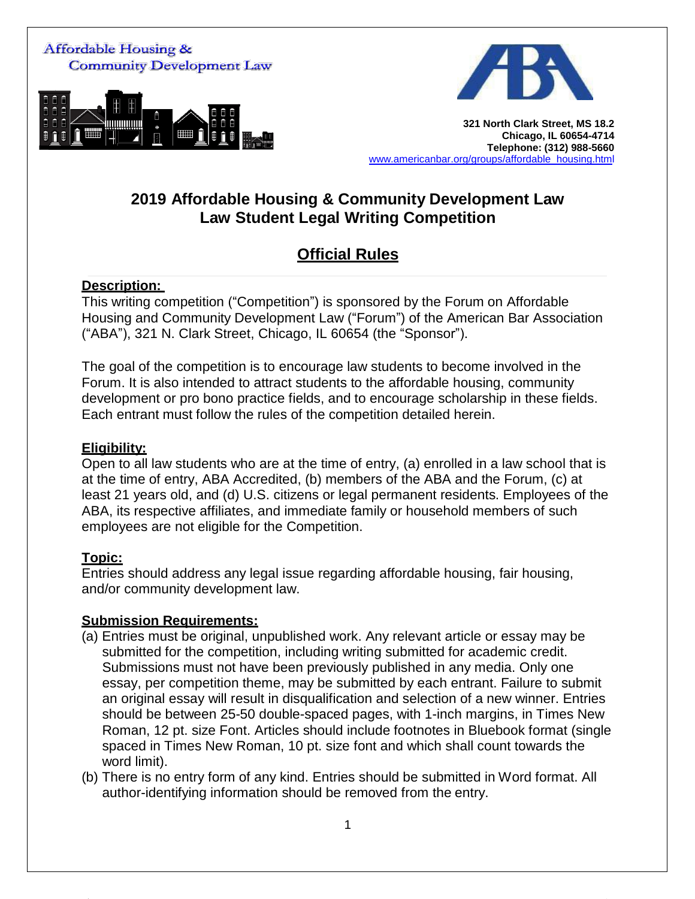Affordable Housing & **Community Development Law** 





**321 North Clark Street, MS 18.2 Chicago, IL 60654-4714 Telephone: (312) 988-5660** [www.americanbar.org/groups/affordable\\_housing.html](http://www.americanbar.org/groups/affordable_housing.html)

## **2019 Affordable Housing & Community Development Law Law Student Legal Writing Competition**

# **Official Rules**

## **Description:**

This writing competition ("Competition") is sponsored by the Forum on Affordable Housing and Community Development Law ("Forum") of the American Bar Association ("ABA"), 321 N. Clark Street, Chicago, IL 60654 (the "Sponsor").

The goal of the competition is to encourage law students to become involved in the Forum. It is also intended to attract students to the affordable housing, community development or pro bono practice fields, and to encourage scholarship in these fields. Each entrant must follow the rules of the competition detailed herein.

#### **Eligibility:**

Open to all law students who are at the time of entry, (a) enrolled in a law school that is at the time of entry, ABA Accredited, (b) members of the ABA and the Forum, (c) at least 21 years old, and (d) U.S. citizens or legal permanent residents. Employees of the ABA, its respective affiliates, and immediate family or household members of such employees are not eligible for the Competition.

## **Topic:**

Entries should address any legal issue regarding affordable housing, fair housing, and/or community development law.

## **Submission Requirements:**

- (a) Entries must be original, unpublished work. Any relevant article or essay may be submitted for the competition, including writing submitted for academic credit. Submissions must not have been previously published in any media. Only one essay, per competition theme, may be submitted by each entrant. Failure to submit an original essay will result in disqualification and selection of a new winner. Entries should be between 25-50 double-spaced pages, with 1-inch margins, in Times New Roman, 12 pt. size Font. Articles should include footnotes in Bluebook format (single spaced in Times New Roman, 10 pt. size font and which shall count towards the word limit).
- (b) There is no entry form of any kind. Entries should be submitted in Word format. All author-identifying information should be removed from the entry.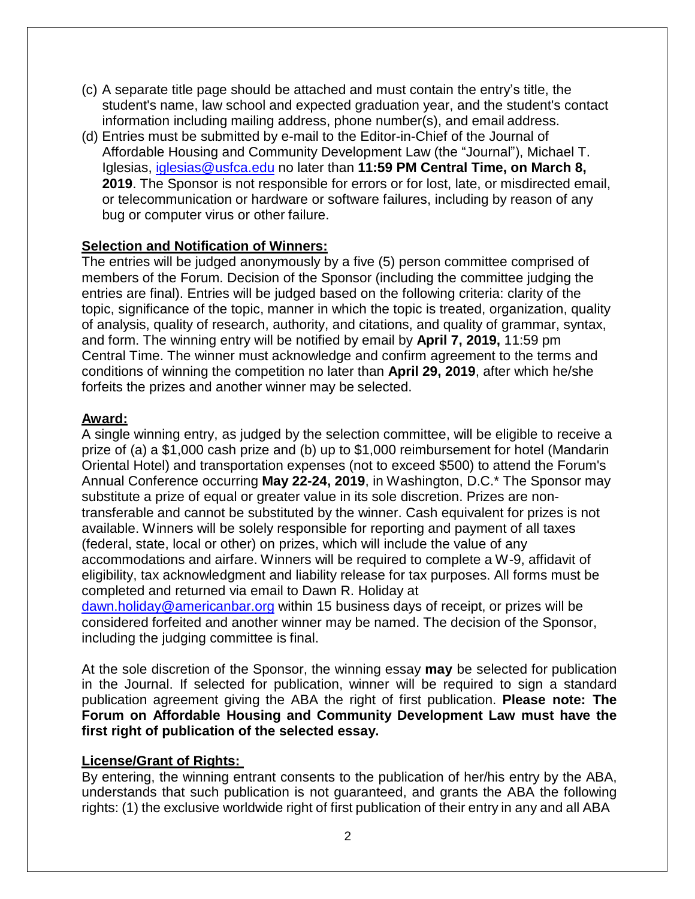- (c) A separate title page should be attached and must contain the entry's title, the student's name, law school and expected graduation year, and the student's contact information including mailing address, phone number(s), and email address.
- (d) Entries must be submitted by e-mail to the Editor-in-Chief of the Journal of Affordable Housing and Community Development Law (the "Journal"), Michael T. Iglesias, [iglesias@usfca.edu](mailto:iglesias@usfca.edu) no later than **11:59 PM Central Time, on March 8, 2019**. The Sponsor is not responsible for errors or for lost, late, or misdirected email, or telecommunication or hardware or software failures, including by reason of any bug or computer virus or other failure.

#### **Selection and Notification of Winners:**

The entries will be judged anonymously by a five (5) person committee comprised of members of the Forum. Decision of the Sponsor (including the committee judging the entries are final). Entries will be judged based on the following criteria: clarity of the topic, significance of the topic, manner in which the topic is treated, organization, quality of analysis, quality of research, authority, and citations, and quality of grammar, syntax, and form. The winning entry will be notified by email by **April 7, 2019,** 11:59 pm Central Time. The winner must acknowledge and confirm agreement to the terms and conditions of winning the competition no later than **April 29, 2019**, after which he/she forfeits the prizes and another winner may be selected.

#### **Award:**

A single winning entry, as judged by the selection committee, will be eligible to receive a prize of (a) a \$1,000 cash prize and (b) up to \$1,000 reimbursement for hotel (Mandarin Oriental Hotel) and transportation expenses (not to exceed \$500) to attend the Forum's Annual Conference occurring **May 22-24, 2019**, in Washington, D.C.\* The Sponsor may substitute a prize of equal or greater value in its sole discretion. Prizes are nontransferable and cannot be substituted by the winner. Cash equivalent for prizes is not available. Winners will be solely responsible for reporting and payment of all taxes (federal, state, local or other) on prizes, which will include the value of any accommodations and airfare. Winners will be required to complete a W-9, affidavit of eligibility, tax acknowledgment and liability release for tax purposes. All forms must be completed and returned via email to Dawn R. Holiday at [dawn.holiday@americanbar.org](mailto:dawn.holiday@americanbar.org) within 15 business days of receipt, or prizes will be considered forfeited and another winner may be named. The decision of the Sponsor, including the judging committee is final.

At the sole discretion of the Sponsor, the winning essay **may** be selected for publication in the Journal. If selected for publication, winner will be required to sign a standard publication agreement giving the ABA the right of first publication. **Please note: The Forum on Affordable Housing and Community Development Law must have the first right of publication of the selected essay.**

## **License/Grant of Rights:**

By entering, the winning entrant consents to the publication of her/his entry by the ABA, understands that such publication is not guaranteed, and grants the ABA the following rights: (1) the exclusive worldwide right of first publication of their entry in any and all ABA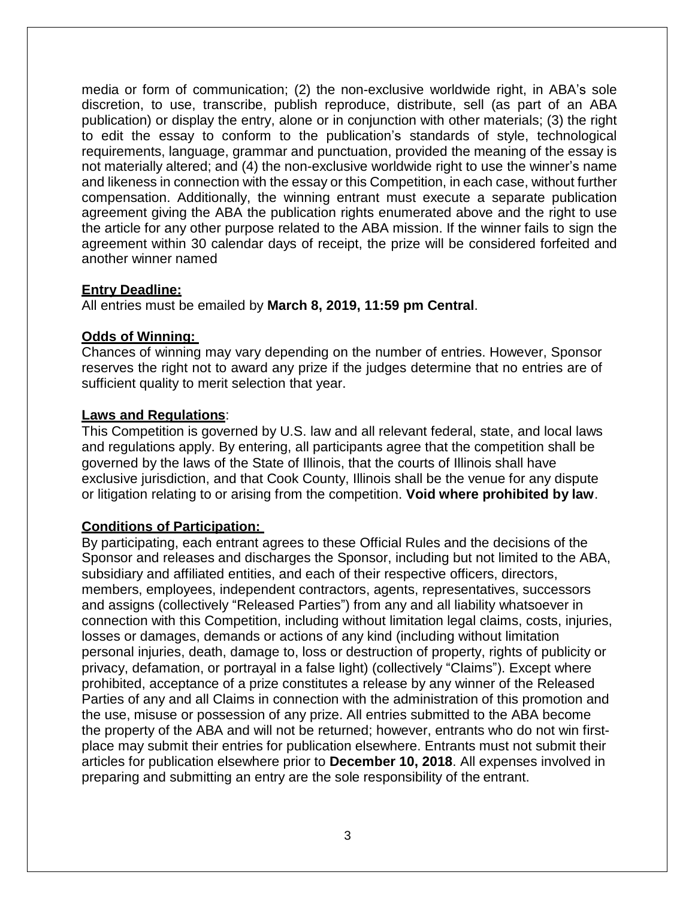media or form of communication; (2) the non-exclusive worldwide right, in ABA's sole discretion, to use, transcribe, publish reproduce, distribute, sell (as part of an ABA publication) or display the entry, alone or in conjunction with other materials; (3) the right to edit the essay to conform to the publication's standards of style, technological requirements, language, grammar and punctuation, provided the meaning of the essay is not materially altered; and (4) the non-exclusive worldwide right to use the winner's name and likeness in connection with the essay or this Competition, in each case, without further compensation. Additionally, the winning entrant must execute a separate publication agreement giving the ABA the publication rights enumerated above and the right to use the article for any other purpose related to the ABA mission. If the winner fails to sign the agreement within 30 calendar days of receipt, the prize will be considered forfeited and another winner named

#### **Entry Deadline:**

All entries must be emailed by **March 8, 2019, 11:59 pm Central**.

#### **Odds of Winning:**

Chances of winning may vary depending on the number of entries. However, Sponsor reserves the right not to award any prize if the judges determine that no entries are of sufficient quality to merit selection that year.

#### **Laws and Regulations**:

This Competition is governed by U.S. law and all relevant federal, state, and local laws and regulations apply. By entering, all participants agree that the competition shall be governed by the laws of the State of Illinois, that the courts of Illinois shall have exclusive jurisdiction, and that Cook County, Illinois shall be the venue for any dispute or litigation relating to or arising from the competition. **Void where prohibited by law**.

## **Conditions of Participation:**

By participating, each entrant agrees to these Official Rules and the decisions of the Sponsor and releases and discharges the Sponsor, including but not limited to the ABA, subsidiary and affiliated entities, and each of their respective officers, directors, members, employees, independent contractors, agents, representatives, successors and assigns (collectively "Released Parties") from any and all liability whatsoever in connection with this Competition, including without limitation legal claims, costs, injuries, losses or damages, demands or actions of any kind (including without limitation personal injuries, death, damage to, loss or destruction of property, rights of publicity or privacy, defamation, or portrayal in a false light) (collectively "Claims"). Except where prohibited, acceptance of a prize constitutes a release by any winner of the Released Parties of any and all Claims in connection with the administration of this promotion and the use, misuse or possession of any prize. All entries submitted to the ABA become the property of the ABA and will not be returned; however, entrants who do not win firstplace may submit their entries for publication elsewhere. Entrants must not submit their articles for publication elsewhere prior to **December 10, 2018**. All expenses involved in preparing and submitting an entry are the sole responsibility of the entrant.